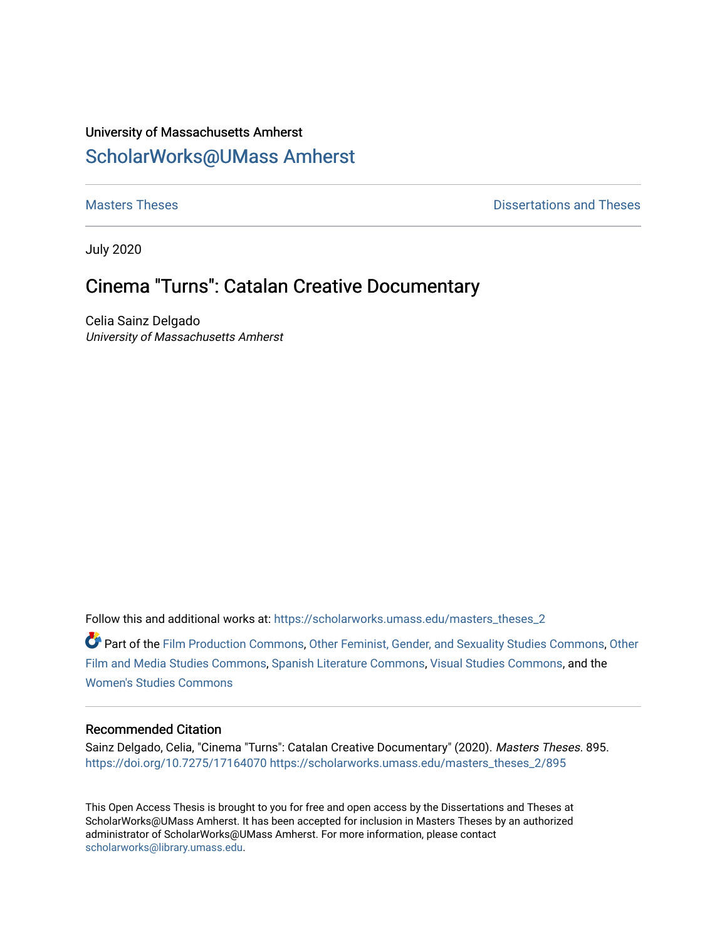# University of Massachusetts Amherst [ScholarWorks@UMass Amherst](https://scholarworks.umass.edu/)

**[Masters Theses](https://scholarworks.umass.edu/masters_theses_2) Contract Contract Contract Contract Contract Contract Contract Contract Contract Contract Contract Contract Contract Contract Contract Contract Contract Contract Contract Contract Contract Contract Contra** 

July 2020

# Cinema "Turns": Catalan Creative Documentary

Celia Sainz Delgado University of Massachusetts Amherst

Follow this and additional works at: [https://scholarworks.umass.edu/masters\\_theses\\_2](https://scholarworks.umass.edu/masters_theses_2?utm_source=scholarworks.umass.edu%2Fmasters_theses_2%2F895&utm_medium=PDF&utm_campaign=PDFCoverPages) 

Part of the [Film Production Commons](http://network.bepress.com/hgg/discipline/1290?utm_source=scholarworks.umass.edu%2Fmasters_theses_2%2F895&utm_medium=PDF&utm_campaign=PDFCoverPages), [Other Feminist, Gender, and Sexuality Studies Commons](http://network.bepress.com/hgg/discipline/562?utm_source=scholarworks.umass.edu%2Fmasters_theses_2%2F895&utm_medium=PDF&utm_campaign=PDFCoverPages), [Other](http://network.bepress.com/hgg/discipline/565?utm_source=scholarworks.umass.edu%2Fmasters_theses_2%2F895&utm_medium=PDF&utm_campaign=PDFCoverPages)  [Film and Media Studies Commons,](http://network.bepress.com/hgg/discipline/565?utm_source=scholarworks.umass.edu%2Fmasters_theses_2%2F895&utm_medium=PDF&utm_campaign=PDFCoverPages) [Spanish Literature Commons,](http://network.bepress.com/hgg/discipline/550?utm_source=scholarworks.umass.edu%2Fmasters_theses_2%2F895&utm_medium=PDF&utm_campaign=PDFCoverPages) [Visual Studies Commons](http://network.bepress.com/hgg/discipline/564?utm_source=scholarworks.umass.edu%2Fmasters_theses_2%2F895&utm_medium=PDF&utm_campaign=PDFCoverPages), and the [Women's Studies Commons](http://network.bepress.com/hgg/discipline/561?utm_source=scholarworks.umass.edu%2Fmasters_theses_2%2F895&utm_medium=PDF&utm_campaign=PDFCoverPages)

#### Recommended Citation

Sainz Delgado, Celia, "Cinema "Turns": Catalan Creative Documentary" (2020). Masters Theses. 895. <https://doi.org/10.7275/17164070> [https://scholarworks.umass.edu/masters\\_theses\\_2/895](https://scholarworks.umass.edu/masters_theses_2/895?utm_source=scholarworks.umass.edu%2Fmasters_theses_2%2F895&utm_medium=PDF&utm_campaign=PDFCoverPages) 

This Open Access Thesis is brought to you for free and open access by the Dissertations and Theses at ScholarWorks@UMass Amherst. It has been accepted for inclusion in Masters Theses by an authorized administrator of ScholarWorks@UMass Amherst. For more information, please contact [scholarworks@library.umass.edu.](mailto:scholarworks@library.umass.edu)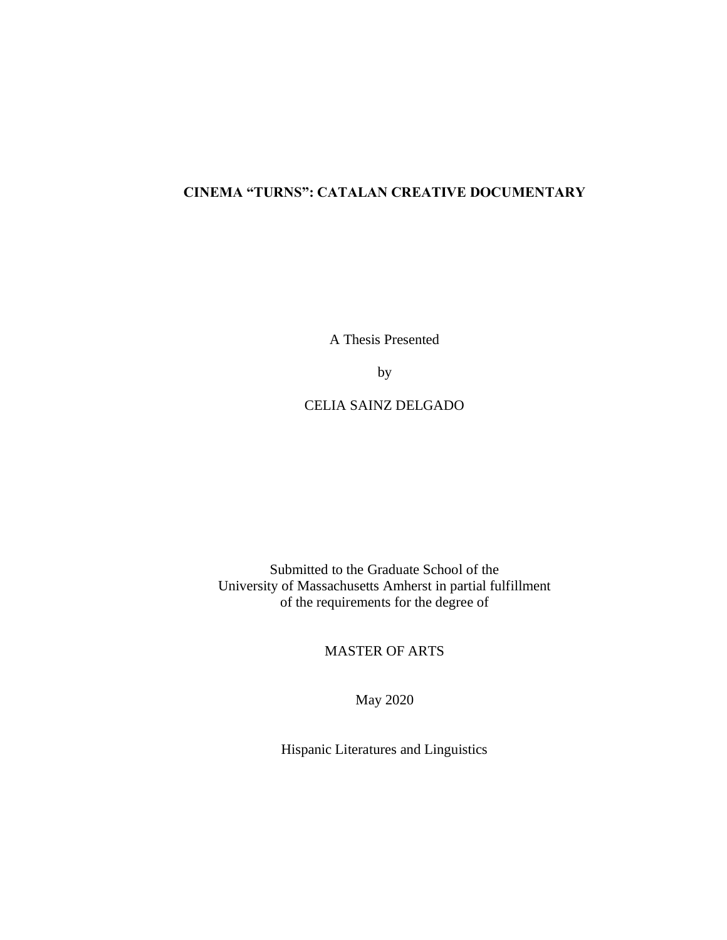# **CINEMA "TURNS": CATALAN CREATIVE DOCUMENTARY**

A Thesis Presented

by

CELIA SAINZ DELGADO

Submitted to the Graduate School of the University of Massachusetts Amherst in partial fulfillment of the requirements for the degree of

MASTER OF ARTS

May 2020

Hispanic Literatures and Linguistics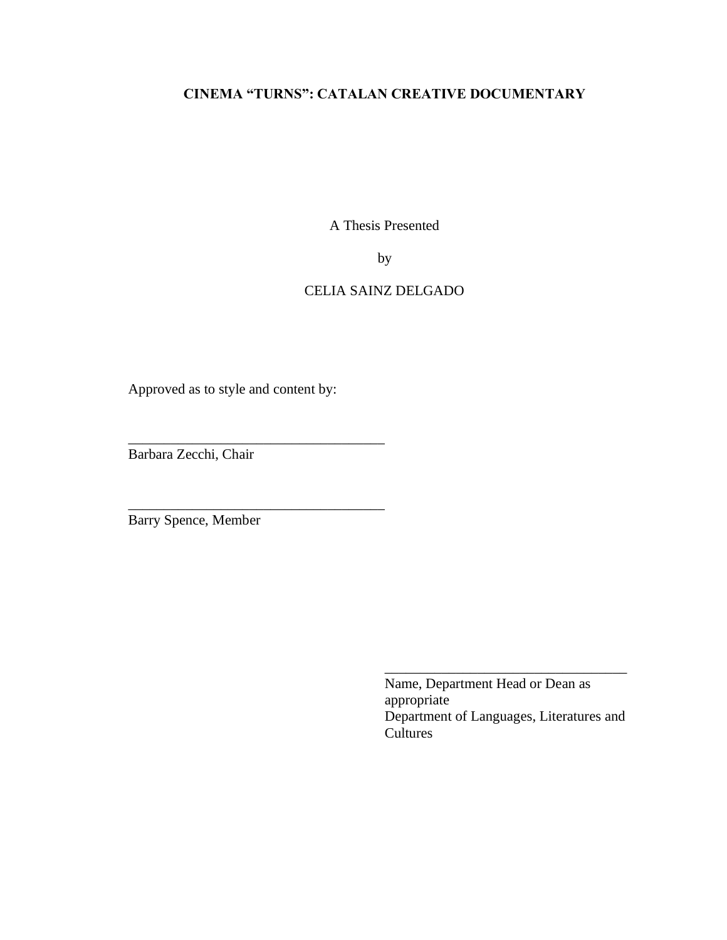# **CINEMA "TURNS": CATALAN CREATIVE DOCUMENTARY**

A Thesis Presented

by

# CELIA SAINZ DELGADO

Approved as to style and content by:

\_\_\_\_\_\_\_\_\_\_\_\_\_\_\_\_\_\_\_\_\_\_\_\_\_\_\_\_\_\_\_\_\_\_\_\_

\_\_\_\_\_\_\_\_\_\_\_\_\_\_\_\_\_\_\_\_\_\_\_\_\_\_\_\_\_\_\_\_\_\_\_\_

Barbara Zecchi, Chair

Barry Spence, Member

Name, Department Head or Dean as appropriate Department of Languages, Literatures and Cultures

\_\_\_\_\_\_\_\_\_\_\_\_\_\_\_\_\_\_\_\_\_\_\_\_\_\_\_\_\_\_\_\_\_\_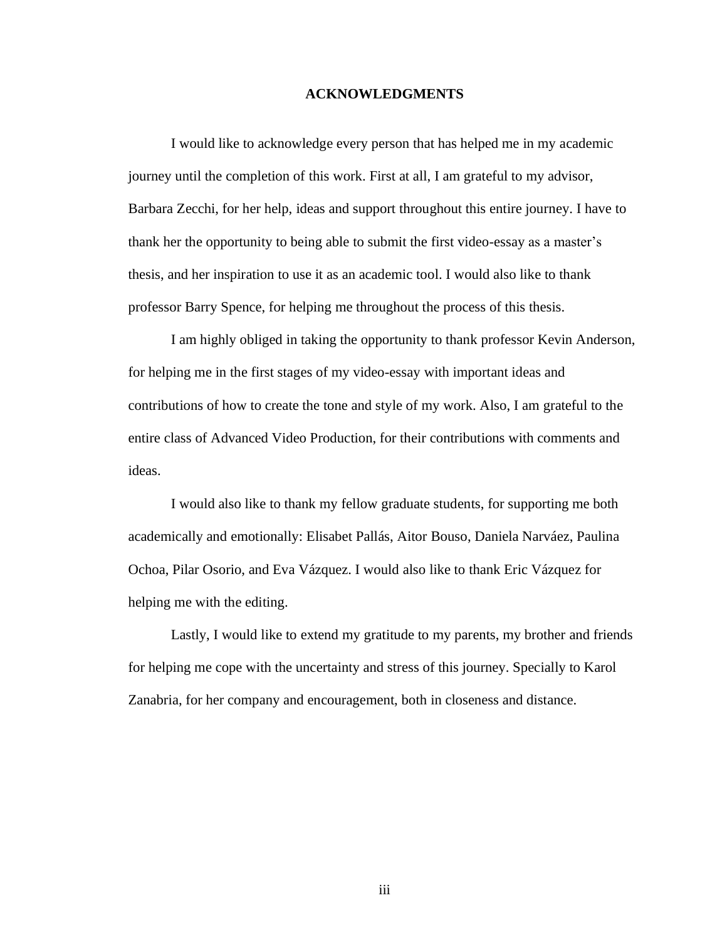#### **ACKNOWLEDGMENTS**

<span id="page-3-0"></span>I would like to acknowledge every person that has helped me in my academic journey until the completion of this work. First at all, I am grateful to my advisor, Barbara Zecchi, for her help, ideas and support throughout this entire journey. I have to thank her the opportunity to being able to submit the first video-essay as a master's thesis, and her inspiration to use it as an academic tool. I would also like to thank professor Barry Spence, for helping me throughout the process of this thesis.

I am highly obliged in taking the opportunity to thank professor Kevin Anderson, for helping me in the first stages of my video-essay with important ideas and contributions of how to create the tone and style of my work. Also, I am grateful to the entire class of Advanced Video Production, for their contributions with comments and ideas.

I would also like to thank my fellow graduate students, for supporting me both academically and emotionally: Elisabet Pallás, Aitor Bouso, Daniela Narváez, Paulina Ochoa, Pilar Osorio, and Eva Vázquez. I would also like to thank Eric Vázquez for helping me with the editing.

Lastly, I would like to extend my gratitude to my parents, my brother and friends for helping me cope with the uncertainty and stress of this journey. Specially to Karol Zanabria, for her company and encouragement, both in closeness and distance.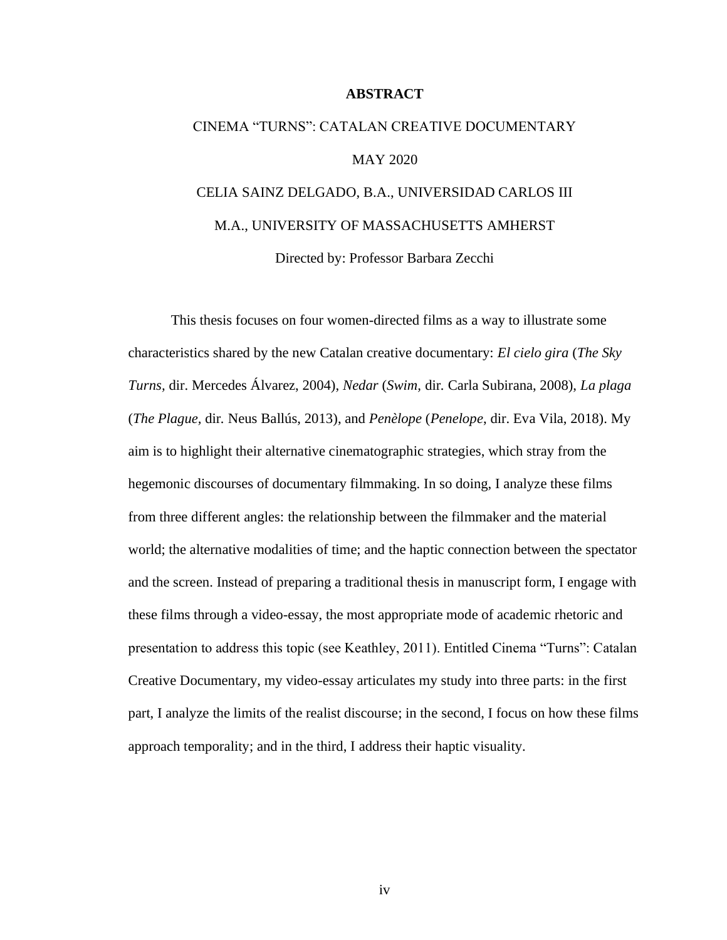#### **ABSTRACT**

# CINEMA "TURNS": CATALAN CREATIVE DOCUMENTARY MAY 2020 CELIA SAINZ DELGADO, B.A., UNIVERSIDAD CARLOS III M.A., UNIVERSITY OF MASSACHUSETTS AMHERST

Directed by: Professor Barbara Zecchi

This thesis focuses on four women-directed films as a way to illustrate some characteristics shared by the new Catalan creative documentary: *El cielo gira* (*The Sky Turns,* dir. Mercedes Álvarez, 2004), *Nedar* (*Swim,* dir*.* Carla Subirana, 2008), *La plaga* (*The Plague,* dir*.* Neus Ballús, 2013), and *Penèlope* (*Penelope*, dir. Eva Vila, 2018). My aim is to highlight their alternative cinematographic strategies, which stray from the hegemonic discourses of documentary filmmaking. In so doing, I analyze these films from three different angles: the relationship between the filmmaker and the material world; the alternative modalities of time; and the haptic connection between the spectator and the screen. Instead of preparing a traditional thesis in manuscript form, I engage with these films through a video-essay, the most appropriate mode of academic rhetoric and presentation to address this topic (see Keathley, 2011). Entitled Cinema "Turns": Catalan Creative Documentary, my video-essay articulates my study into three parts: in the first part, I analyze the limits of the realist discourse; in the second, I focus on how these films approach temporality; and in the third, I address their haptic visuality.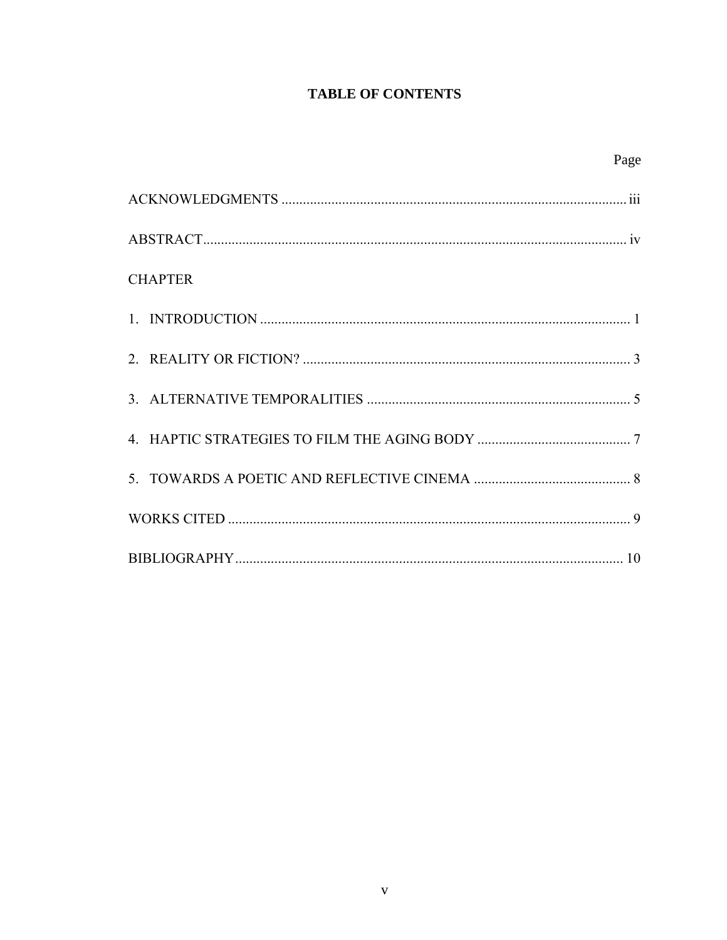# **TABLE OF CONTENTS**

| Page           |
|----------------|
|                |
|                |
| <b>CHAPTER</b> |
|                |
|                |
|                |
|                |
|                |
|                |
|                |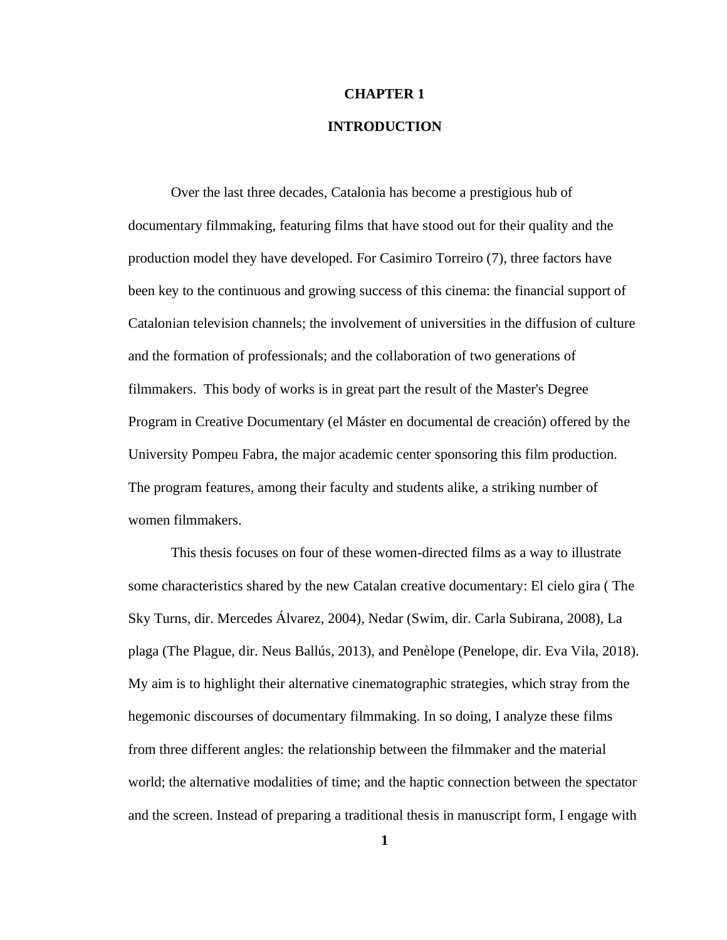## **INTRODUCTION**

<span id="page-6-0"></span>Over the last three decades, Catalonia has become a prestigious hub of documentary filmmaking, featuring films that have stood out for their quality and the production model they have developed. For Casimiro Torreiro (7), three factors have been key to the continuous and growing success of this cinema: the financial support of Catalonian television channels; the involvement of universities in the diffusion of culture and the formation of professionals; and the collaboration of two generations of filmmakers. This body of works is in great part the result of the Master's Degree Program in Creative Documentary (el Máster en documental de creación) offered by the University Pompeu Fabra, the major academic center sponsoring this film production. The program features, among their faculty and students alike, a striking number of women filmmakers.

This thesis focuses on four of these women-directed films as a way to illustrate some characteristics shared by the new Catalan creative documentary: El cielo gira ( The Sky Turns, dir. Mercedes Álvarez, 2004), Nedar (Swim, dir. Carla Subirana, 2008), La plaga (The Plague, dir. Neus Ballús, 2013), and Penèlope (Penelope, dir. Eva Vila, 2018). My aim is to highlight their alternative cinematographic strategies, which stray from the hegemonic discourses of documentary filmmaking. In so doing, I analyze these films from three different angles: the relationship between the filmmaker and the material world; the alternative modalities of time; and the haptic connection between the spectator and the screen. Instead of preparing a traditional thesis in manuscript form, I engage with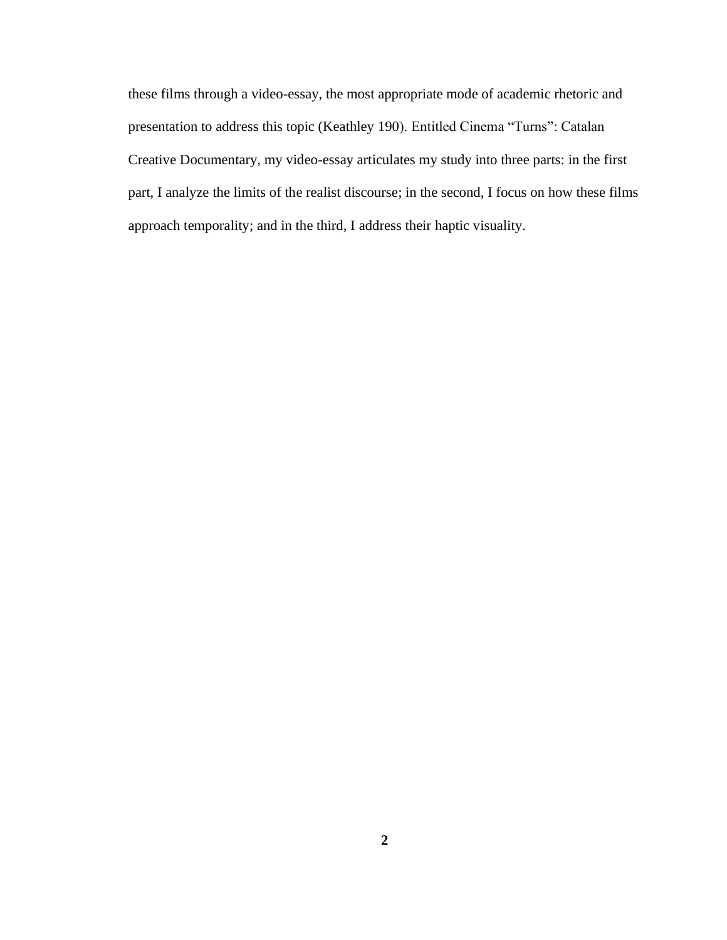these films through a video-essay, the most appropriate mode of academic rhetoric and presentation to address this topic (Keathley 190). Entitled Cinema "Turns": Catalan Creative Documentary, my video-essay articulates my study into three parts: in the first part, I analyze the limits of the realist discourse; in the second, I focus on how these films approach temporality; and in the third, I address their haptic visuality.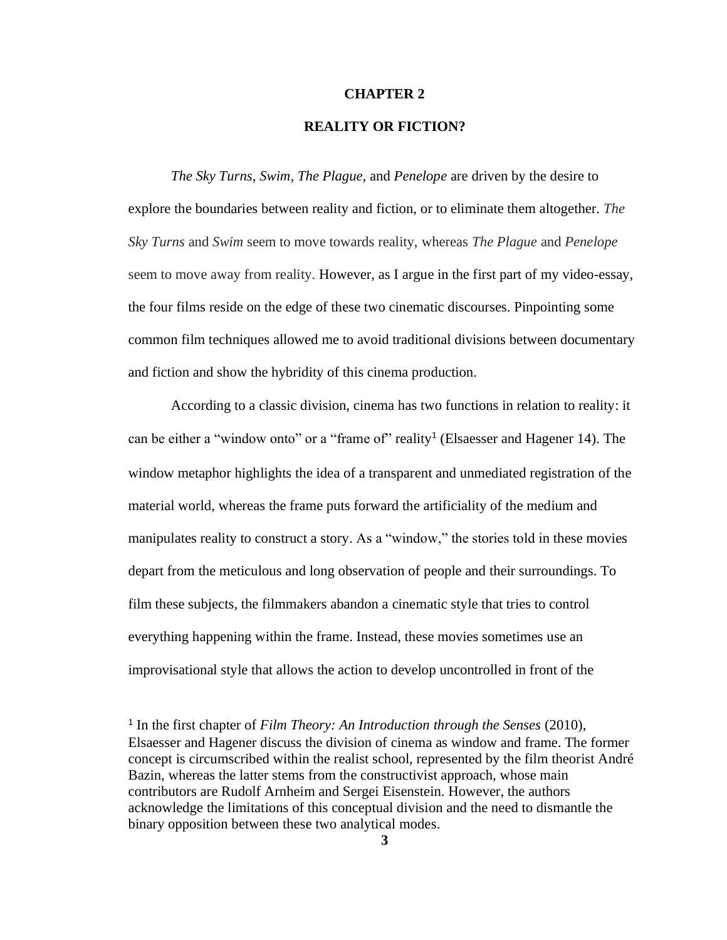## **REALITY OR FICTION?**

<span id="page-8-0"></span>*The Sky Turns, Swim, The Plague,* and *Penelope* are driven by the desire to explore the boundaries between reality and fiction, or to eliminate them altogether. *The Sky Turns* and *Swim* seem to move towards reality, whereas *The Plague* and *Penelope* seem to move away from reality. However, as I argue in the first part of my video-essay, the four films reside on the edge of these two cinematic discourses. Pinpointing some common film techniques allowed me to avoid traditional divisions between documentary and fiction and show the hybridity of this cinema production.

According to a classic division, cinema has two functions in relation to reality: it can be either a "window onto" or a "frame of" reality<sup>1</sup> (Elsaesser and Hagener 14). The window metaphor highlights the idea of a transparent and unmediated registration of the material world, whereas the frame puts forward the artificiality of the medium and manipulates reality to construct a story. As a "window," the stories told in these movies depart from the meticulous and long observation of people and their surroundings. To film these subjects, the filmmakers abandon a cinematic style that tries to control everything happening within the frame. Instead, these movies sometimes use an improvisational style that allows the action to develop uncontrolled in front of the

<sup>&</sup>lt;sup>1</sup> In the first chapter of *Film Theory: An Introduction through the Senses* (2010), Elsaesser and Hagener discuss the division of cinema as window and frame. The former concept is circumscribed within the realist school, represented by the film theorist André Bazin, whereas the latter stems from the constructivist approach, whose main contributors are Rudolf Arnheim and Sergei Eisenstein. However, the authors acknowledge the limitations of this conceptual division and the need to dismantle the binary opposition between these two analytical modes.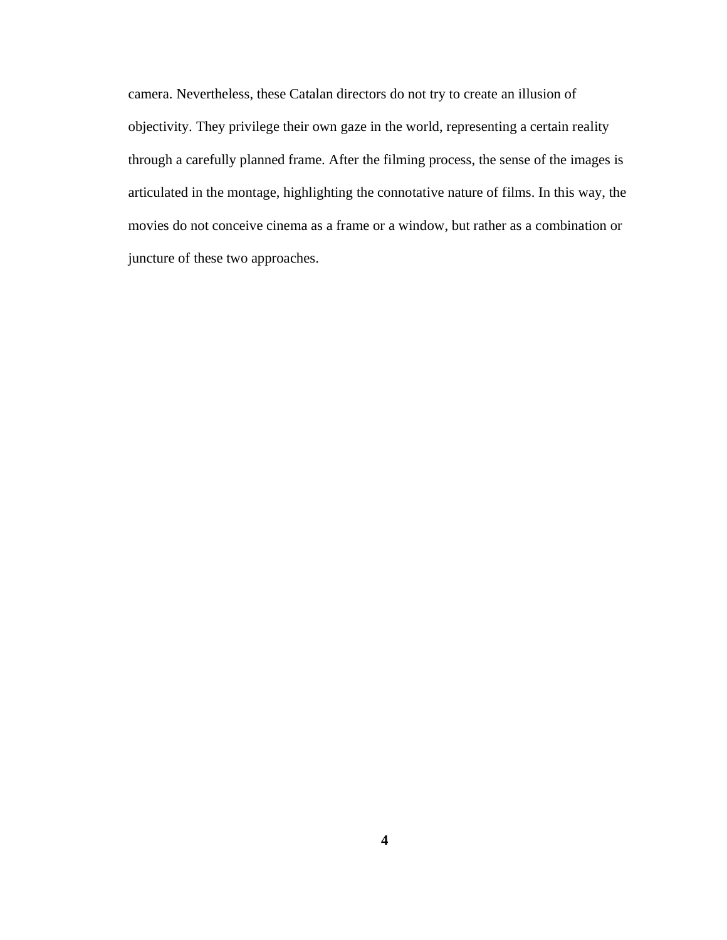camera. Nevertheless, these Catalan directors do not try to create an illusion of objectivity. They privilege their own gaze in the world, representing a certain reality through a carefully planned frame. After the filming process, the sense of the images is articulated in the montage, highlighting the connotative nature of films. In this way, the movies do not conceive cinema as a frame or a window, but rather as a combination or juncture of these two approaches.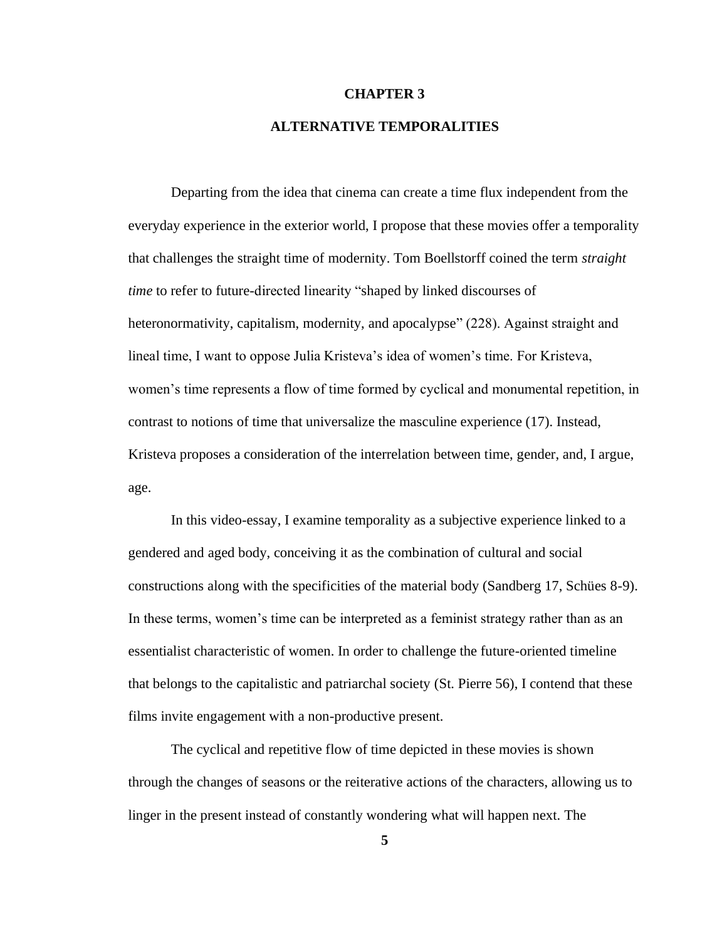# **ALTERNATIVE TEMPORALITIES**

<span id="page-10-0"></span>Departing from the idea that cinema can create a time flux independent from the everyday experience in the exterior world, I propose that these movies offer a temporality that challenges the straight time of modernity. Tom Boellstorff coined the term *straight time* to refer to future-directed linearity "shaped by linked discourses of heteronormativity, capitalism, modernity, and apocalypse" (228). Against straight and lineal time, I want to oppose Julia Kristeva's idea of women's time. For Kristeva, women's time represents a flow of time formed by cyclical and monumental repetition, in contrast to notions of time that universalize the masculine experience (17). Instead, Kristeva proposes a consideration of the interrelation between time, gender, and, I argue, age.

In this video-essay, I examine temporality as a subjective experience linked to a gendered and aged body, conceiving it as the combination of cultural and social constructions along with the specificities of the material body (Sandberg 17, Schües 8-9). In these terms, women's time can be interpreted as a feminist strategy rather than as an essentialist characteristic of women. In order to challenge the future-oriented timeline that belongs to the capitalistic and patriarchal society (St. Pierre 56), I contend that these films invite engagement with a non-productive present.

The cyclical and repetitive flow of time depicted in these movies is shown through the changes of seasons or the reiterative actions of the characters, allowing us to linger in the present instead of constantly wondering what will happen next. The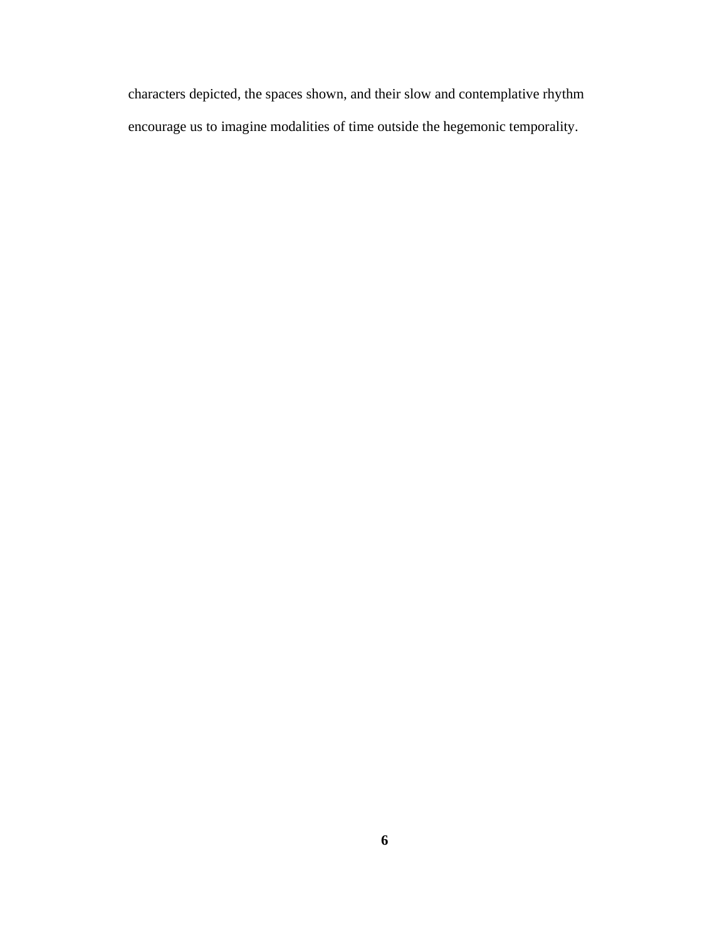characters depicted, the spaces shown, and their slow and contemplative rhythm encourage us to imagine modalities of time outside the hegemonic temporality.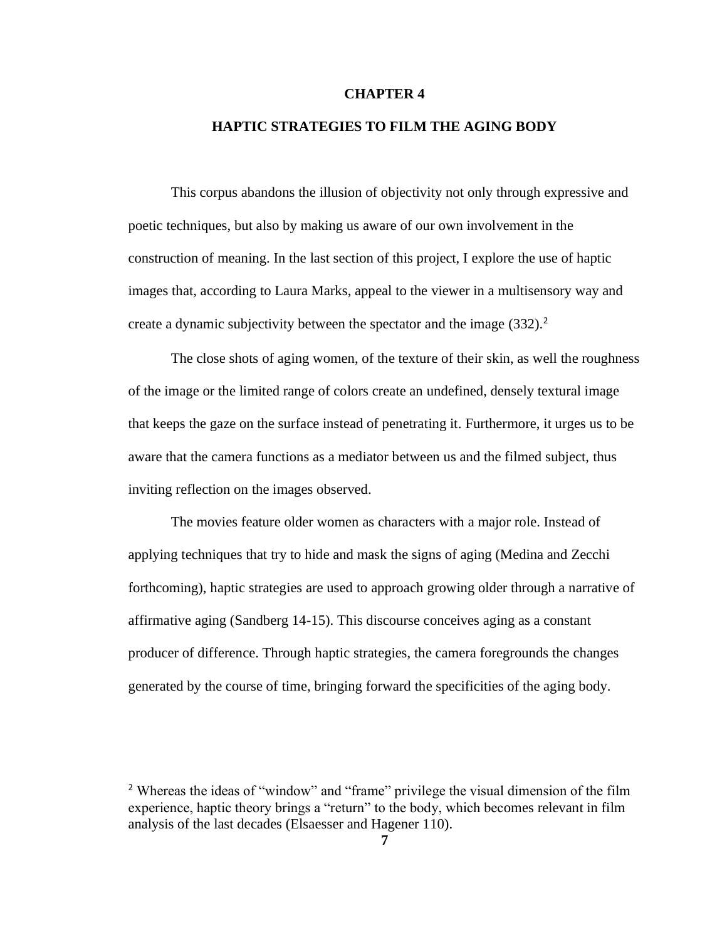## **HAPTIC STRATEGIES TO FILM THE AGING BODY**

<span id="page-12-0"></span>This corpus abandons the illusion of objectivity not only through expressive and poetic techniques, but also by making us aware of our own involvement in the construction of meaning. In the last section of this project, I explore the use of haptic images that, according to Laura Marks, appeal to the viewer in a multisensory way and create a dynamic subjectivity between the spectator and the image (332).<sup>2</sup>

The close shots of aging women, of the texture of their skin, as well the roughness of the image or the limited range of colors create an undefined, densely textural image that keeps the gaze on the surface instead of penetrating it. Furthermore, it urges us to be aware that the camera functions as a mediator between us and the filmed subject, thus inviting reflection on the images observed.

The movies feature older women as characters with a major role. Instead of applying techniques that try to hide and mask the signs of aging (Medina and Zecchi forthcoming), haptic strategies are used to approach growing older through a narrative of affirmative aging (Sandberg 14-15). This discourse conceives aging as a constant producer of difference. Through haptic strategies, the camera foregrounds the changes generated by the course of time, bringing forward the specificities of the aging body.

<sup>2</sup> Whereas the ideas of "window" and "frame" privilege the visual dimension of the film experience, haptic theory brings a "return" to the body, which becomes relevant in film analysis of the last decades (Elsaesser and Hagener 110).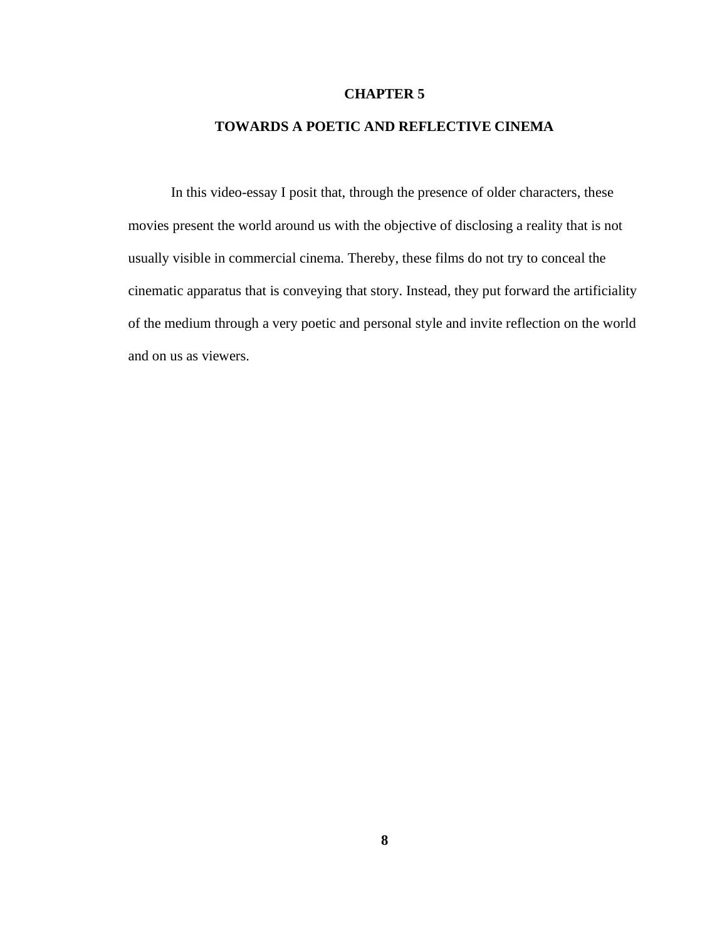## **TOWARDS A POETIC AND REFLECTIVE CINEMA**

<span id="page-13-0"></span>In this video-essay I posit that, through the presence of older characters, these movies present the world around us with the objective of disclosing a reality that is not usually visible in commercial cinema. Thereby, these films do not try to conceal the cinematic apparatus that is conveying that story. Instead, they put forward the artificiality of the medium through a very poetic and personal style and invite reflection on the world and on us as viewers.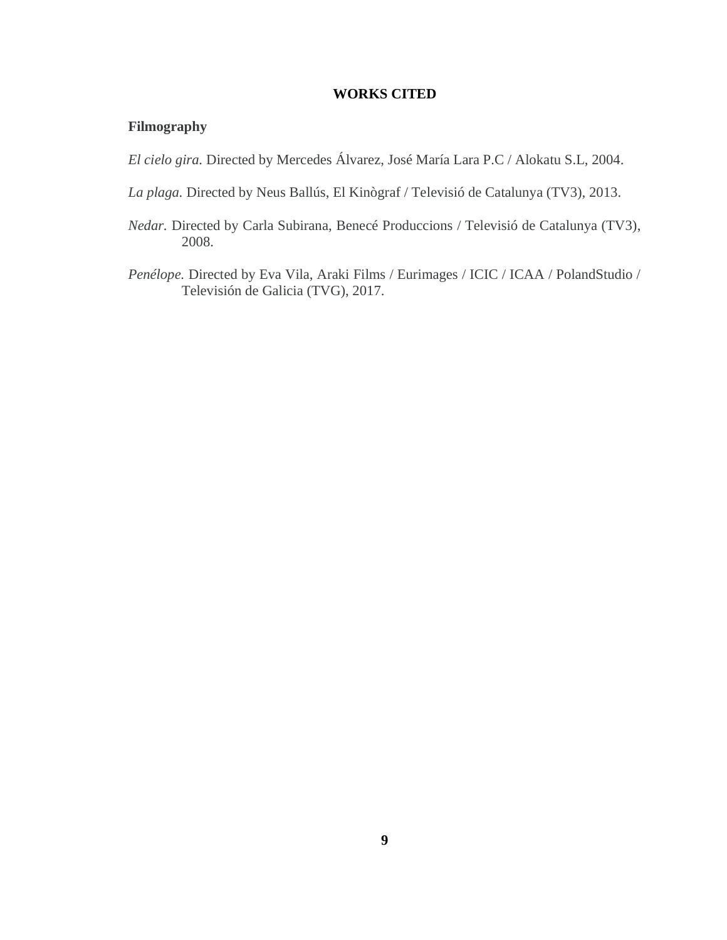## **WORKS CITED**

# <span id="page-14-0"></span>**Filmography**

*El cielo gira.* Directed by Mercedes Álvarez, José María Lara P.C / Alokatu S.L, 2004.

- *La plaga.* Directed by Neus Ballús, El Kinògraf / Televisió de Catalunya (TV3), 2013.
- *Nedar.* Directed by Carla Subirana, Benecé Produccions / Televisió de Catalunya (TV3), 2008.
- *Penélope.* Directed by Eva Vila, Araki Films / Eurimages / ICIC / ICAA / PolandStudio / Televisión de Galicia (TVG), 2017.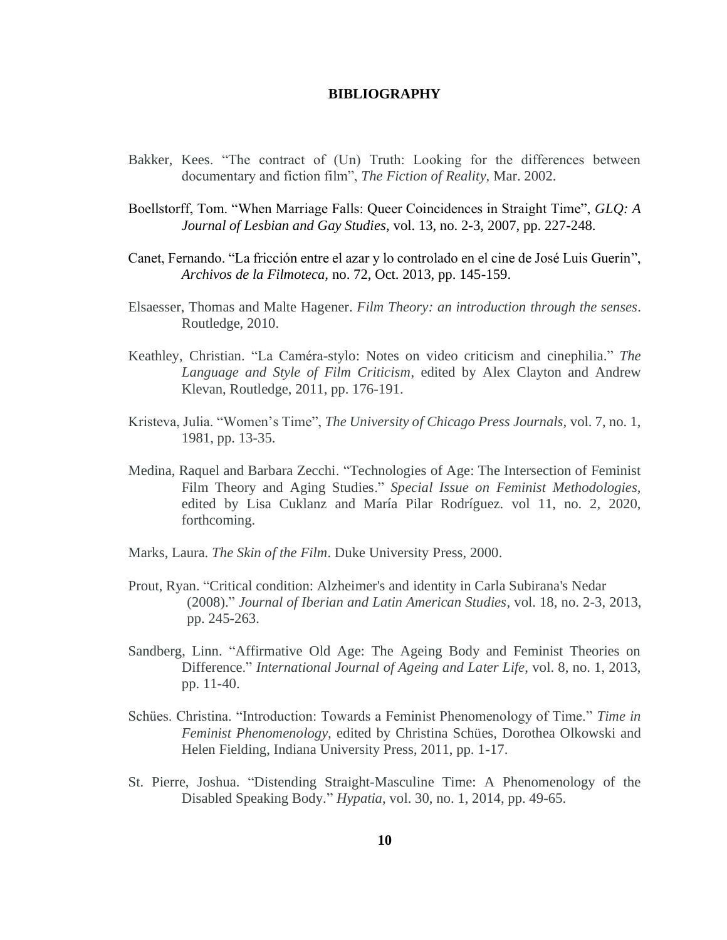#### **BIBLIOGRAPHY**

- <span id="page-15-0"></span>Bakker, Kees. "The contract of (Un) Truth: Looking for the differences between documentary and fiction film", *The Fiction of Reality,* Mar. 2002.
- Boellstorff, Tom. "When Marriage Falls: Queer Coincidences in Straight Time", *GLQ: A Journal of Lesbian and Gay Studies,* vol. 13, no. 2-3, 2007, pp. 227-248.
- Canet, Fernando. "La fricción entre el azar y lo controlado en el cine de José Luis Guerin", *Archivos de la Filmoteca,* no. 72, Oct. 2013, pp. 145-159.
- Elsaesser, Thomas and Malte Hagener. *Film Theory: an introduction through the senses*. Routledge, 2010.
- Keathley, Christian. "La Caméra-stylo: Notes on video criticism and cinephilia." *The Language and Style of Film Criticism*, edited by Alex Clayton and Andrew Klevan, Routledge, 2011, pp. 176-191.
- Kristeva, Julia. "Women's Time", *The University of Chicago Press Journals,* vol. 7, no. 1, 1981, pp. 13-35.
- Medina, Raquel and Barbara Zecchi. "Technologies of Age: The Intersection of Feminist Film Theory and Aging Studies." *Special Issue on Feminist Methodologies,* edited by Lisa Cuklanz and María Pilar Rodríguez*.* vol 11, no. 2*,* 2020, forthcoming.
- Marks, Laura. *The Skin of the Film*. Duke University Press, 2000.
- Prout, Ryan. "Critical condition: Alzheimer's and identity in Carla Subirana's Nedar (2008)." *Journal of Iberian and Latin American Studies,* vol. 18, no. 2-3, 2013, pp. 245-263.
- Sandberg, Linn. "Affirmative Old Age: The Ageing Body and Feminist Theories on Difference." *International Journal of Ageing and Later Life*, vol. 8, no. 1, 2013, pp. 11-40.
- Schües. Christina. "Introduction: Towards a Feminist Phenomenology of Time." *Time in Feminist Phenomenology,* edited by Christina Schües, Dorothea Olkowski and Helen Fielding, Indiana University Press, 2011, pp. 1-17.
- St. Pierre, Joshua. "Distending Straight-Masculine Time: A Phenomenology of the Disabled Speaking Body." *Hypatia*, vol. 30, no. 1, 2014, pp. 49-65.